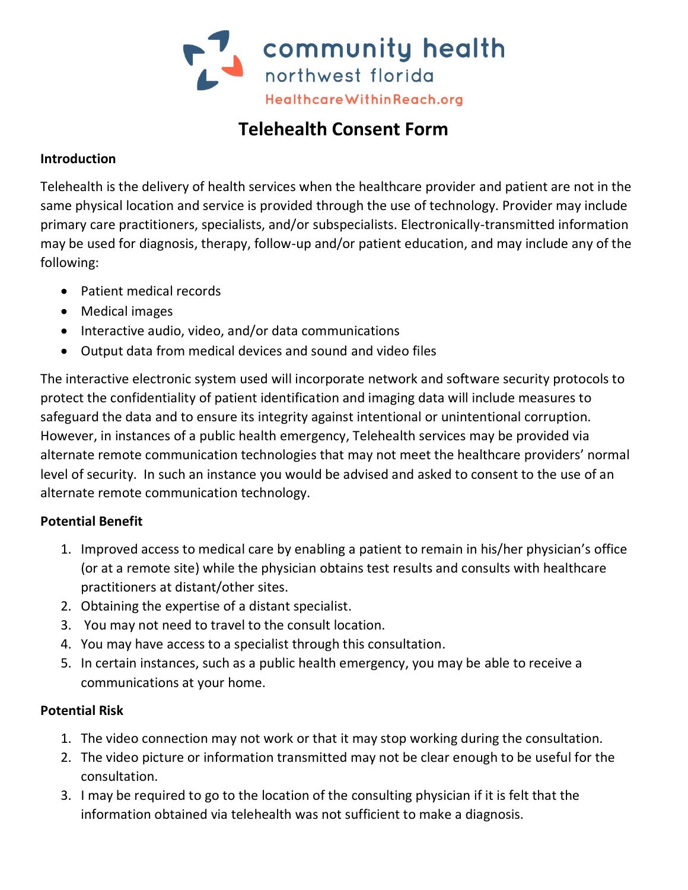

# **Telehealth Consent Form**

#### **Introduction**

Telehealth is the delivery of health services when the healthcare provider and patient are not in the same physical location and service is provided through the use of technology. Provider may include primary care practitioners, specialists, and/or subspecialists. Electronically-transmitted information may be used for diagnosis, therapy, follow-up and/or patient education, and may include any of the following:

- Patient medical records
- Medical images
- Interactive audio, video, and/or data communications
- Output data from medical devices and sound and video files

The interactive electronic system used will incorporate network and software security protocols to protect the confidentiality of patient identification and imaging data will include measures to safeguard the data and to ensure its integrity against intentional or unintentional corruption. However, in instances of a public health emergency, Telehealth services may be provided via alternate remote communication technologies that may not meet the healthcare providers' normal level of security. In such an instance you would be advised and asked to consent to the use of an alternate remote communication technology.

## **Potential Benefit**

- 1. Improved access to medical care by enabling a patient to remain in his/her physician's office (or at a remote site) while the physician obtains test results and consults with healthcare practitioners at distant/other sites.
- 2. Obtaining the expertise of a distant specialist.
- 3. You may not need to travel to the consult location.
- 4. You may have access to a specialist through this consultation.
- 5. In certain instances, such as a public health emergency, you may be able to receive a communications at your home.

## **Potential Risk**

- 1. The video connection may not work or that it may stop working during the consultation.
- 2. The video picture or information transmitted may not be clear enough to be useful for the consultation.
- 3. I may be required to go to the location of the consulting physician if it is felt that the information obtained via telehealth was not sufficient to make a diagnosis.